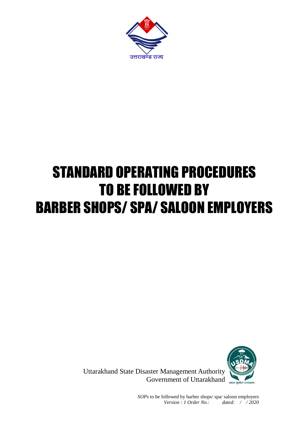

# STANDARD OPERATING PROCEDURES TO BE FOLLOWED BY BARBER SHOPS/ SPA/ SALOON EMPLOYERS



Uttarakhand State Disaster Management Authority Government of Uttarakhand

> *SOPs* to be followed by barber shops/ spa/ saloon employers *Version : 1 Order No.: dated: / / 2020*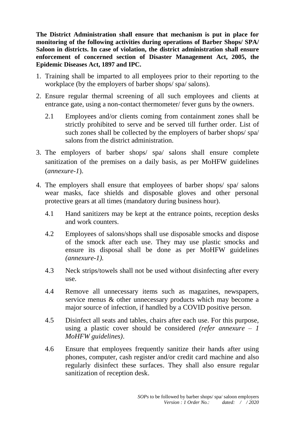**The District Administration shall ensure that mechanism is put in place for monitoring of the following activities during operations of Barber Shops/ SPA/ Saloon in districts. In case of violation, the district administration shall ensure enforcement of concerned section of Disaster Management Act, 2005, the Epidemic Diseases Act, 1897 and IPC.** 

- 1. Training shall be imparted to all employees prior to their reporting to the workplace (by the employers of barber shops/ spa/ salons).
- 2. Ensure regular thermal screening of all such employees and clients at entrance gate, using a non-contact thermometer/ fever guns by the owners.
	- 2.1 Employees and/or clients coming from containment zones shall be strictly prohibited to serve and be served till further order. List of such zones shall be collected by the employers of barber shops/ spa/ salons from the district administration.
- 3. The employers of barber shops/ spa/ salons shall ensure complete sanitization of the premises on a daily basis, as per MoHFW guidelines (*annexure-1*).
- 4. The employers shall ensure that employees of barber shops/ spa/ salons wear masks, face shields and disposable gloves and other personal protective gears at all times (mandatory during business hour).
	- 4.1 Hand sanitizers may be kept at the entrance points, reception desks and work counters.
	- 4.2 Employees of salons/shops shall use disposable smocks and dispose of the smock after each use. They may use plastic smocks and ensure its disposal shall be done as per MoHFW guidelines *(annexure-1).*
	- 4.3 Neck strips/towels shall not be used without disinfecting after every use.
	- 4.4 Remove all unnecessary items such as magazines, newspapers, service menus & other unnecessary products which may become a major source of infection, if handled by a COVID positive person.
	- 4.5 Disinfect all seats and tables, chairs after each use. For this purpose, using a plastic cover should be considered *(refer annexure – 1 MoHFW guidelines)*.
	- 4.6 Ensure that employees frequently sanitize their hands after using phones, computer, cash register and/or credit card machine and also regularly disinfect these surfaces. They shall also ensure regular sanitization of reception desk.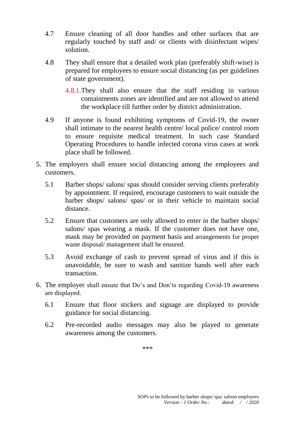- 4.7 Ensure cleaning of all door handles and other surfaces that are regularly touched by staff and/ or clients with disinfectant wipes/ solution.
- 4.8 They shall ensure that a detailed work plan (preferably shift-wise) is prepared for employees to ensure social distancing (as per guidelines of state government).
	- 4.8.1.They shall also ensure that the staff residing in various containments zones are identified and are not allowed to attend the workplace till further order by district administration.
- 4.9 If anyone is found exhibiting symptoms of Covid-19, the owner shall intimate to the nearest health centre/ local police/ control room to ensure requisite medical treatment. In such case Standard Operating Procedures to handle infected corona virus cases at work place shall be followed.
- 5. The employers shall ensure social distancing among the employees and customers.
	- 5.1 Barber shops/ salons/ spas should consider serving clients preferably by appointment. If required, encourage customers to wait outside the barber shops/ salons/ spas/ or in their vehicle to maintain social distance.
	- 5.2 Ensure that customers are only allowed to enter in the barber shops/ salons/ spas wearing a mask. If the customer does not have one, mask may be provided on payment basis and arrangements for proper waste disposal/ management shall be ensured.
	- 5.3 Avoid exchange of cash to prevent spread of virus and if this is unavoidable, be sure to wash and sanitize hands well after each transaction.
- 6. The employer shall ensure that Do's and Don'ts regarding Covid-19 awareness are displayed.
	- 6.1 Ensure that floor stickers and signage are displayed to provide guidance for social distancing.
	- 6.2 Pre-recorded audio messages may also be played to generate awareness among the customers.

\*\*\*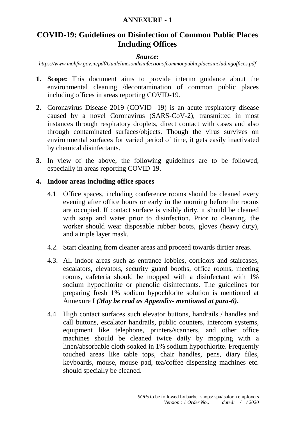## **ANNEXURE - 1**

# **COVID-19: Guidelines on Disinfection of Common Public Places Including Offices**

#### *Source:*

*https://www.mohfw.gov.in/pdf/Guidelinesondisinfectionofcommonpublicplacesincludingoffices.pdf*

- **1. Scope:** This document aims to provide interim guidance about the environmental cleaning /decontamination of common public places including offices in areas reporting COVID-19.
- **2.** Coronavirus Disease 2019 (COVID -19) is an acute respiratory disease caused by a novel Coronavirus (SARS-CoV-2), transmitted in most instances through respiratory droplets, direct contact with cases and also through contaminated surfaces/objects. Though the virus survives on environmental surfaces for varied period of time, it gets easily inactivated by chemical disinfectants.
- **3.** In view of the above, the following guidelines are to be followed, especially in areas reporting COVID-19.

#### **4. Indoor areas including office spaces**

- 4.1. Office spaces, including conference rooms should be cleaned every evening after office hours or early in the morning before the rooms are occupied. If contact surface is visibly dirty, it should be cleaned with soap and water prior to disinfection. Prior to cleaning, the worker should wear disposable rubber boots, gloves (heavy duty), and a triple layer mask.
- 4.2. Start cleaning from cleaner areas and proceed towards dirtier areas.
- 4.3. All indoor areas such as entrance lobbies, corridors and staircases, escalators, elevators, security guard booths, office rooms, meeting rooms, cafeteria should be mopped with a disinfectant with 1% sodium hypochlorite or phenolic disinfectants. The guidelines for preparing fresh 1% sodium hypochlorite solution is mentioned at Annexure I *(May be read as Appendix- mentioned at para-6)***.**
- 4.4. High contact surfaces such elevator buttons, handrails / handles and call buttons, escalator handrails, public counters, intercom systems, equipment like telephone, printers/scanners, and other office machines should be cleaned twice daily by mopping with a linen/absorbable cloth soaked in 1% sodium hypochlorite. Frequently touched areas like table tops, chair handles, pens, diary files, keyboards, mouse, mouse pad, tea/coffee dispensing machines etc. should specially be cleaned.